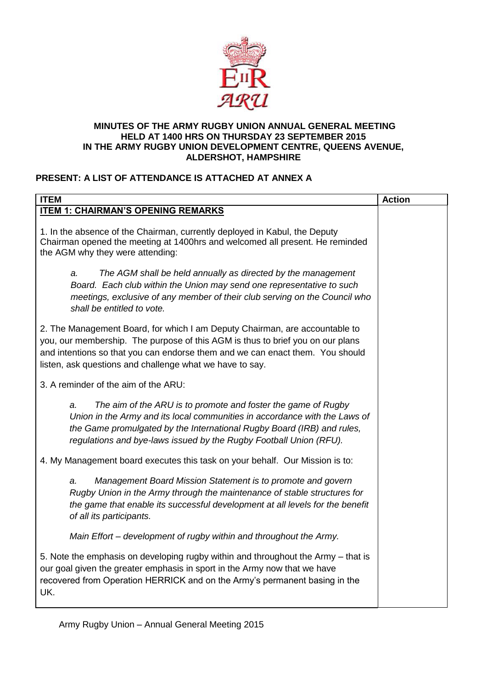

#### **MINUTES OF THE ARMY RUGBY UNION ANNUAL GENERAL MEETING HELD AT 1400 HRS ON THURSDAY 23 SEPTEMBER 2015 IN THE ARMY RUGBY UNION DEVELOPMENT CENTRE, QUEENS AVENUE, ALDERSHOT, HAMPSHIRE**

# **PRESENT: A LIST OF ATTENDANCE IS ATTACHED AT ANNEX A**

| <b>ITEM</b>                                                                                                                                                                                                                                                                                                | <b>Action</b> |
|------------------------------------------------------------------------------------------------------------------------------------------------------------------------------------------------------------------------------------------------------------------------------------------------------------|---------------|
| <b>ITEM 1: CHAIRMAN'S OPENING REMARKS</b>                                                                                                                                                                                                                                                                  |               |
| 1. In the absence of the Chairman, currently deployed in Kabul, the Deputy<br>Chairman opened the meeting at 1400hrs and welcomed all present. He reminded<br>the AGM why they were attending:                                                                                                             |               |
| The AGM shall be held annually as directed by the management<br>a.<br>Board. Each club within the Union may send one representative to such<br>meetings, exclusive of any member of their club serving on the Council who<br>shall be entitled to vote.                                                    |               |
| 2. The Management Board, for which I am Deputy Chairman, are accountable to<br>you, our membership. The purpose of this AGM is thus to brief you on our plans<br>and intentions so that you can endorse them and we can enact them. You should<br>listen, ask questions and challenge what we have to say. |               |
| 3. A reminder of the aim of the ARU:                                                                                                                                                                                                                                                                       |               |
| The aim of the ARU is to promote and foster the game of Rugby<br>a.<br>Union in the Army and its local communities in accordance with the Laws of<br>the Game promulgated by the International Rugby Board (IRB) and rules,<br>regulations and bye-laws issued by the Rugby Football Union (RFU).          |               |
| 4. My Management board executes this task on your behalf. Our Mission is to:                                                                                                                                                                                                                               |               |
| Management Board Mission Statement is to promote and govern<br>a.<br>Rugby Union in the Army through the maintenance of stable structures for<br>the game that enable its successful development at all levels for the benefit<br>of all its participants.                                                 |               |
| Main Effort - development of rugby within and throughout the Army.                                                                                                                                                                                                                                         |               |
| 5. Note the emphasis on developing rugby within and throughout the Army – that is<br>our goal given the greater emphasis in sport in the Army now that we have<br>recovered from Operation HERRICK and on the Army's permanent basing in the<br>UK.                                                        |               |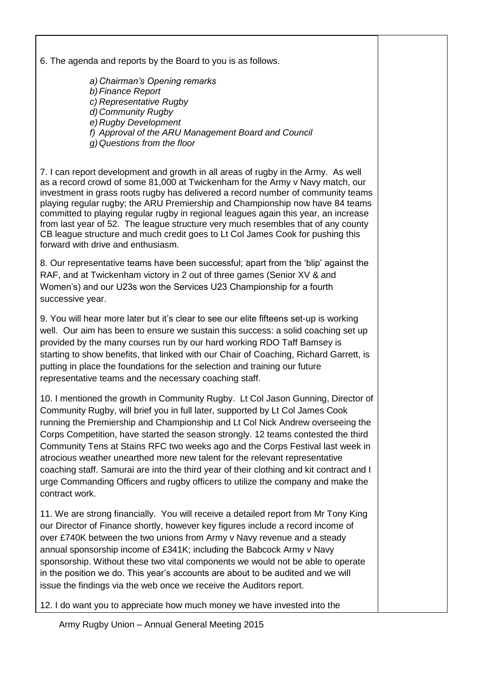6. The agenda and reports by the Board to you is as follows.

*a) Chairman's Opening remarks b)Finance Report c) Representative Rugby d) Community Rugby e) Rugby Development f) Approval of the ARU Management Board and Council g)Questions from the floor*

7. I can report development and growth in all areas of rugby in the Army. As well as a record crowd of some 81,000 at Twickenham for the Army v Navy match, our investment in grass roots rugby has delivered a record number of community teams playing regular rugby; the ARU Premiership and Championship now have 84 teams committed to playing regular rugby in regional leagues again this year, an increase from last year of 52. The league structure very much resembles that of any county CB league structure and much credit goes to Lt Col James Cook for pushing this forward with drive and enthusiasm.

8. Our representative teams have been successful; apart from the 'blip' against the RAF, and at Twickenham victory in 2 out of three games (Senior XV & and Women's) and our U23s won the Services U23 Championship for a fourth successive year.

9. You will hear more later but it's clear to see our elite fifteens set-up is working well. Our aim has been to ensure we sustain this success: a solid coaching set up provided by the many courses run by our hard working RDO Taff Bamsey is starting to show benefits, that linked with our Chair of Coaching, Richard Garrett, is putting in place the foundations for the selection and training our future representative teams and the necessary coaching staff.

10. I mentioned the growth in Community Rugby. Lt Col Jason Gunning, Director of Community Rugby, will brief you in full later, supported by Lt Col James Cook running the Premiership and Championship and Lt Col Nick Andrew overseeing the Corps Competition, have started the season strongly. 12 teams contested the third Community Tens at Stains RFC two weeks ago and the Corps Festival last week in atrocious weather unearthed more new talent for the relevant representative coaching staff. Samurai are into the third year of their clothing and kit contract and I urge Commanding Officers and rugby officers to utilize the company and make the contract work.

11. We are strong financially. You will receive a detailed report from Mr Tony King our Director of Finance shortly, however key figures include a record income of over £740K between the two unions from Army v Navy revenue and a steady annual sponsorship income of £341K; including the Babcock Army v Navy sponsorship. Without these two vital components we would not be able to operate in the position we do. This year's accounts are about to be audited and we will issue the findings via the web once we receive the Auditors report.

12. I do want you to appreciate how much money we have invested into the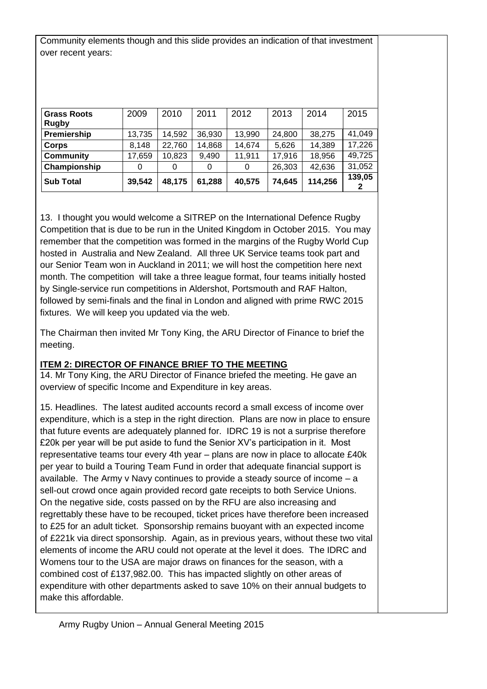Community elements though and this slide provides an indication of that investment over recent years:

| <b>Grass Roots</b> | 2009   | 2010   | 2011   | 2012   | 2013   | 2014    | 2015   |
|--------------------|--------|--------|--------|--------|--------|---------|--------|
| <b>Rugby</b>       |        |        |        |        |        |         |        |
| Premiership        | 13,735 | 14,592 | 36,930 | 13,990 | 24,800 | 38.275  | 41,049 |
| Corps              | 8,148  | 22,760 | 14,868 | 14,674 | 5,626  | 14,389  | 17,226 |
| <b>Community</b>   | 17,659 | 10,823 | 9,490  | 11,911 | 17,916 | 18,956  | 49,725 |
| Championship       | 0      | 0      | 0      | 0      | 26,303 | 42,636  | 31,052 |
| <b>Sub Total</b>   | 39,542 | 48,175 | 61,288 | 40,575 | 74,645 | 114,256 | 139,05 |

13. I thought you would welcome a SITREP on the International Defence Rugby Competition that is due to be run in the United Kingdom in October 2015. You may remember that the competition was formed in the margins of the Rugby World Cup hosted in Australia and New Zealand. All three UK Service teams took part and our Senior Team won in Auckland in 2011; we will host the competition here next month. The competition will take a three league format, four teams initially hosted by Single-service run competitions in Aldershot, Portsmouth and RAF Halton, followed by semi-finals and the final in London and aligned with prime RWC 2015 fixtures. We will keep you updated via the web.

The Chairman then invited Mr Tony King, the ARU Director of Finance to brief the meeting.

## **ITEM 2: DIRECTOR OF FINANCE BRIEF TO THE MEETING**

14. Mr Tony King, the ARU Director of Finance briefed the meeting. He gave an overview of specific Income and Expenditure in key areas.

15. Headlines. The latest audited accounts record a small excess of income over expenditure, which is a step in the right direction. Plans are now in place to ensure that future events are adequately planned for. IDRC 19 is not a surprise therefore £20k per year will be put aside to fund the Senior XV's participation in it. Most representative teams tour every 4th year – plans are now in place to allocate £40k per year to build a Touring Team Fund in order that adequate financial support is available. The Army v Navy continues to provide a steady source of income – a sell-out crowd once again provided record gate receipts to both Service Unions. On the negative side, costs passed on by the RFU are also increasing and regrettably these have to be recouped, ticket prices have therefore been increased to £25 for an adult ticket. Sponsorship remains buoyant with an expected income of £221k via direct sponsorship. Again, as in previous years, without these two vital elements of income the ARU could not operate at the level it does. The IDRC and Womens tour to the USA are major draws on finances for the season, with a combined cost of £137,982.00. This has impacted slightly on other areas of expenditure with other departments asked to save 10% on their annual budgets to make this affordable.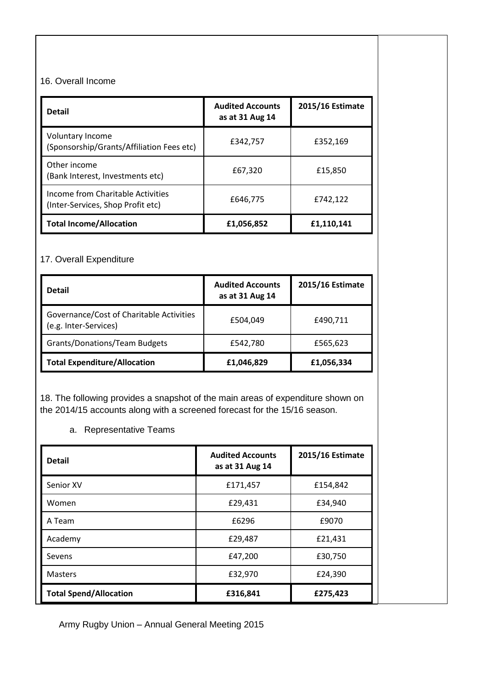## 16. Overall Income

| <b>Detail</b>                                                          | <b>Audited Accounts</b><br>as at 31 Aug 14 | 2015/16 Estimate |  |
|------------------------------------------------------------------------|--------------------------------------------|------------------|--|
| <b>Voluntary Income</b><br>(Sponsorship/Grants/Affiliation Fees etc)   | £342,757                                   | £352,169         |  |
| Other income<br>(Bank Interest, Investments etc)                       | £67,320                                    | £15,850          |  |
| Income from Charitable Activities<br>(Inter-Services, Shop Profit etc) | £646,775                                   | £742,122         |  |
| <b>Total Income/Allocation</b>                                         | £1,056,852                                 | £1,110,141       |  |

# 17. Overall Expenditure

| <b>Detail</b>                                                     | <b>Audited Accounts</b><br>as at 31 Aug 14 | 2015/16 Estimate |
|-------------------------------------------------------------------|--------------------------------------------|------------------|
| Governance/Cost of Charitable Activities<br>(e.g. Inter-Services) | £504,049                                   | £490,711         |
| <b>Grants/Donations/Team Budgets</b>                              | £542,780                                   | £565,623         |
| <b>Total Expenditure/Allocation</b>                               | £1,046,829                                 | £1,056,334       |

18. The following provides a snapshot of the main areas of expenditure shown on the 2014/15 accounts along with a screened forecast for the 15/16 season.

# a. Representative Teams

| <b>Detail</b>                 | <b>Audited Accounts</b><br>as at 31 Aug 14 | 2015/16 Estimate |
|-------------------------------|--------------------------------------------|------------------|
| Senior XV                     | £171,457                                   | £154,842         |
| Women                         | £29,431                                    | £34,940          |
| A Team                        | £6296                                      | £9070            |
| Academy                       | £29,487                                    | £21,431          |
| Sevens                        | £47,200                                    | £30,750          |
| <b>Masters</b>                | £32,970                                    | £24,390          |
| <b>Total Spend/Allocation</b> | £316,841                                   | £275,423         |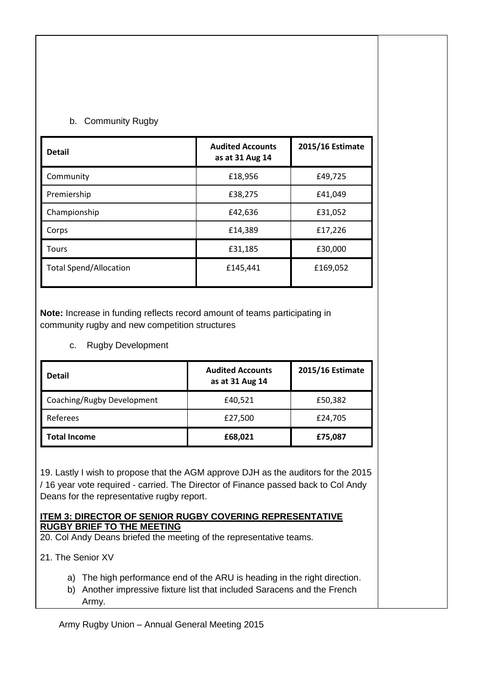## b. Community Rugby

| <b>Detail</b>                 | <b>Audited Accounts</b><br>as at 31 Aug 14 | 2015/16 Estimate |
|-------------------------------|--------------------------------------------|------------------|
| Community                     | £18,956                                    | £49,725          |
| Premiership                   | £38,275                                    | £41,049          |
| Championship                  | £42,636                                    | £31,052          |
| Corps                         | £14,389                                    | £17,226          |
| <b>Tours</b>                  | £31,185                                    | £30,000          |
| <b>Total Spend/Allocation</b> | £145,441                                   | £169,052         |

**Note:** Increase in funding reflects record amount of teams participating in community rugby and new competition structures

### c. Rugby Development

| <b>Detail</b>              | <b>Audited Accounts</b><br>as at 31 Aug 14 | 2015/16 Estimate |
|----------------------------|--------------------------------------------|------------------|
| Coaching/Rugby Development | £40,521                                    | £50,382          |
| Referees                   | £27,500                                    | £24,705          |
| <b>Total Income</b>        | £68,021                                    | £75,087          |

19. Lastly I wish to propose that the AGM approve DJH as the auditors for the 2015 / 16 year vote required - carried. The Director of Finance passed back to Col Andy Deans for the representative rugby report.

#### **ITEM 3: DIRECTOR OF SENIOR RUGBY COVERING REPRESENTATIVE RUGBY BRIEF TO THE MEETING**

20. Col Andy Deans briefed the meeting of the representative teams.

21. The Senior XV

- a) The high performance end of the ARU is heading in the right direction.
- b) Another impressive fixture list that included Saracens and the French Army.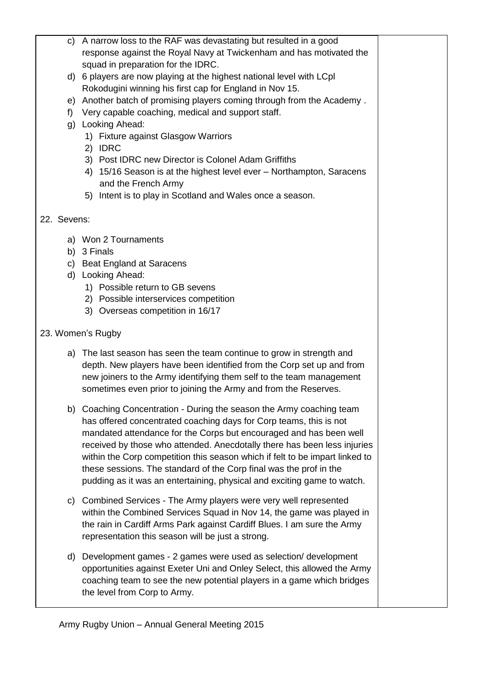c) A narrow loss to the RAF was devastating but resulted in a good response against the Royal Navy at Twickenham and has motivated the squad in preparation for the IDRC. d) 6 players are now playing at the highest national level with LCpl Rokodugini winning his first cap for England in Nov 15. e) Another batch of promising players coming through from the Academy . f) Very capable coaching, medical and support staff. g) Looking Ahead: 1) Fixture against Glasgow Warriors 2) IDRC 3) Post IDRC new Director is Colonel Adam Griffiths 4) 15/16 Season is at the highest level ever – Northampton, Saracens and the French Army 5) Intent is to play in Scotland and Wales once a season. 22. Sevens: a) Won 2 Tournaments b) 3 Finals c) Beat England at Saracens d) Looking Ahead: 1) Possible return to GB sevens 2) Possible interservices competition 3) Overseas competition in 16/17 23. Women's Rugby a) The last season has seen the team continue to grow in strength and depth. New players have been identified from the Corp set up and from new joiners to the Army identifying them self to the team management sometimes even prior to joining the Army and from the Reserves. b) Coaching Concentration - During the season the Army coaching team has offered concentrated coaching days for Corp teams, this is not mandated attendance for the Corps but encouraged and has been well received by those who attended. Anecdotally there has been less injuries within the Corp competition this season which if felt to be impart linked to these sessions. The standard of the Corp final was the prof in the pudding as it was an entertaining, physical and exciting game to watch. c) Combined Services - The Army players were very well represented within the Combined Services Squad in Nov 14, the game was played in the rain in Cardiff Arms Park against Cardiff Blues. I am sure the Army representation this season will be just a strong. d) Development games - 2 games were used as selection/ development opportunities against Exeter Uni and Onley Select, this allowed the Army coaching team to see the new potential players in a game which bridges the level from Corp to Army.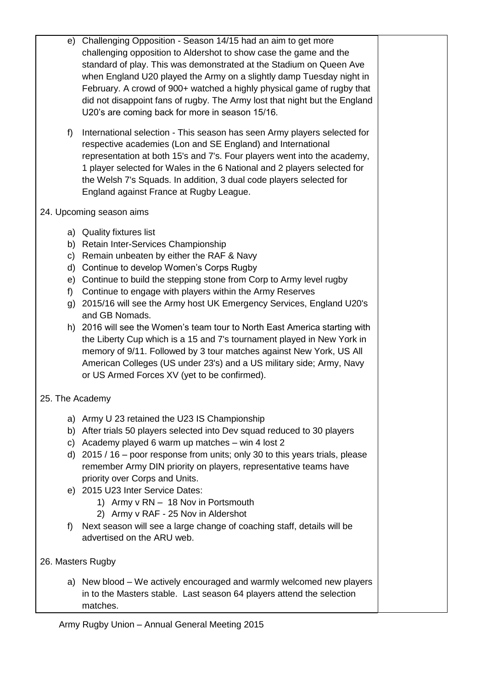- e) Challenging Opposition Season 14/15 had an aim to get more challenging opposition to Aldershot to show case the game and the standard of play. This was demonstrated at the Stadium on Queen Ave when England U20 played the Army on a slightly damp Tuesday night in February. A crowd of 900+ watched a highly physical game of rugby that did not disappoint fans of rugby. The Army lost that night but the England U20's are coming back for more in season 15/16.
- f) International selection This season has seen Army players selected for respective academies (Lon and SE England) and International representation at both 15's and 7's. Four players went into the academy, 1 player selected for Wales in the 6 National and 2 players selected for the Welsh 7's Squads. In addition, 3 dual code players selected for England against France at Rugby League.
- 24. Upcoming season aims
	- a) Quality fixtures list
	- b) Retain Inter-Services Championship
	- c) Remain unbeaten by either the RAF & Navy
	- d) Continue to develop Women's Corps Rugby
	- e) Continue to build the stepping stone from Corp to Army level rugby
	- f) Continue to engage with players within the Army Reserves
	- g) 2015/16 will see the Army host UK Emergency Services, England U20's and GB Nomads.
	- h) 2016 will see the Women's team tour to North East America starting with the Liberty Cup which is a 15 and 7's tournament played in New York in memory of 9/11. Followed by 3 tour matches against New York, US All American Colleges (US under 23's) and a US military side; Army, Navy or US Armed Forces XV (yet to be confirmed).
- 25. The Academy
	- a) Army U 23 retained the U23 IS Championship
	- b) After trials 50 players selected into Dev squad reduced to 30 players
	- c) Academy played 6 warm up matches win 4 lost 2
	- d) 2015 / 16 poor response from units; only 30 to this years trials, please remember Army DIN priority on players, representative teams have priority over Corps and Units.
	- e) 2015 U23 Inter Service Dates:
		- 1) Army v RN 18 Nov in Portsmouth
		- 2) Army v RAF 25 Nov in Aldershot
	- f) Next season will see a large change of coaching staff, details will be advertised on the ARU web.
- 26. Masters Rugby
	- a) New blood We actively encouraged and warmly welcomed new players in to the Masters stable. Last season 64 players attend the selection matches.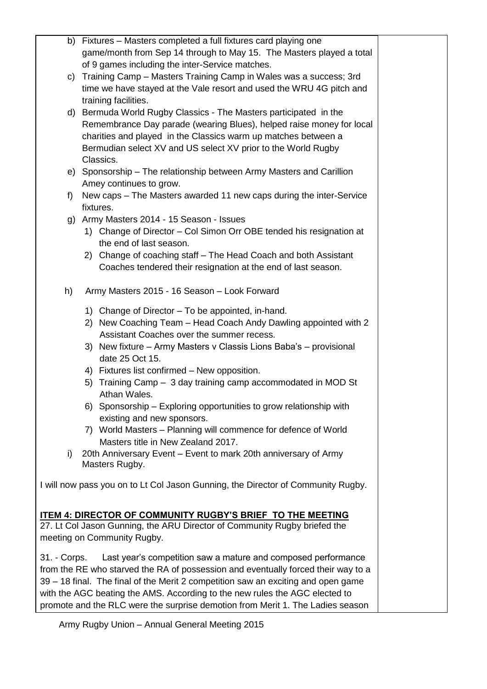|    | b) Fixtures - Masters completed a full fixtures card playing one                  |  |
|----|-----------------------------------------------------------------------------------|--|
|    | game/month from Sep 14 through to May 15. The Masters played a total              |  |
|    | of 9 games including the inter-Service matches.                                   |  |
|    | c) Training Camp - Masters Training Camp in Wales was a success; 3rd              |  |
|    | time we have stayed at the Vale resort and used the WRU 4G pitch and              |  |
|    | training facilities.                                                              |  |
|    | d) Bermuda World Rugby Classics - The Masters participated in the                 |  |
|    | Remembrance Day parade (wearing Blues), helped raise money for local              |  |
|    | charities and played in the Classics warm up matches between a                    |  |
|    | Bermudian select XV and US select XV prior to the World Rugby                     |  |
|    | Classics.                                                                         |  |
|    | e) Sponsorship – The relationship between Army Masters and Carillion              |  |
|    | Amey continues to grow.                                                           |  |
| f) | New caps – The Masters awarded 11 new caps during the inter-Service               |  |
|    | fixtures.                                                                         |  |
|    | g) Army Masters 2014 - 15 Season - Issues                                         |  |
|    | 1) Change of Director - Col Simon Orr OBE tended his resignation at               |  |
|    | the end of last season.                                                           |  |
|    | 2) Change of coaching staff – The Head Coach and both Assistant                   |  |
|    | Coaches tendered their resignation at the end of last season.                     |  |
|    |                                                                                   |  |
| h) | Army Masters 2015 - 16 Season - Look Forward                                      |  |
|    |                                                                                   |  |
|    | 1) Change of Director – To be appointed, in-hand.                                 |  |
|    | 2) New Coaching Team - Head Coach Andy Dawling appointed with 2                   |  |
|    | Assistant Coaches over the summer recess.                                         |  |
|    | 3) New fixture - Army Masters v Classis Lions Baba's - provisional                |  |
|    | date 25 Oct 15.                                                                   |  |
|    | 4) Fixtures list confirmed - New opposition.                                      |  |
|    | 5) Training Camp - 3 day training camp accommodated in MOD St                     |  |
|    | Athan Wales.                                                                      |  |
|    | 6) Sponsorship - Exploring opportunities to grow relationship with                |  |
|    | existing and new sponsors.                                                        |  |
|    | 7) World Masters - Planning will commence for defence of World                    |  |
|    | Masters title in New Zealand 2017.                                                |  |
| i) | 20th Anniversary Event - Event to mark 20th anniversary of Army                   |  |
|    | Masters Rugby.                                                                    |  |
|    | I will now pass you on to Lt Col Jason Gunning, the Director of Community Rugby.  |  |
|    |                                                                                   |  |
|    |                                                                                   |  |
|    | <u>ITEM 4: DIRECTOR OF COMMUNITY RUGBY'S BRIEF TO THE MEETING</u>                 |  |
|    | 27. Lt Col Jason Gunning, the ARU Director of Community Rugby briefed the         |  |
|    | meeting on Community Rugby.                                                       |  |
|    | 31. - Corps. Last year's competition saw a mature and composed performance        |  |
|    | from the RE who starved the RA of possession and eventually forced their way to a |  |
|    | 39 – 18 final. The final of the Merit 2 competition saw an exciting and open game |  |
|    | with the AGC beating the AMS. According to the new rules the AGC elected to       |  |
|    | promote and the RLC were the surprise demotion from Merit 1. The Ladies season    |  |
|    |                                                                                   |  |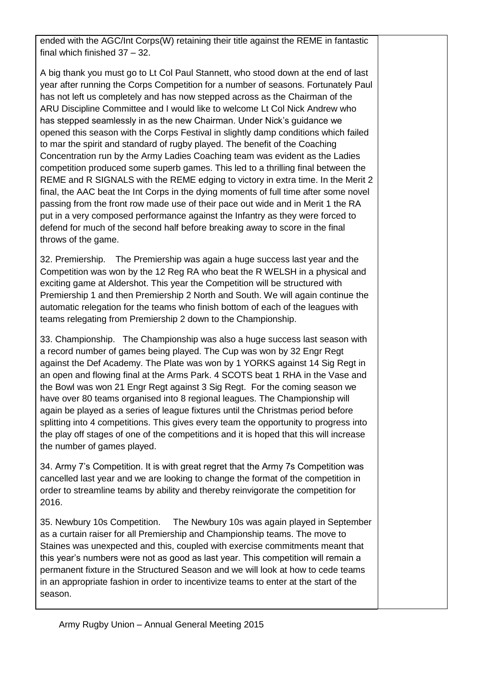ended with the AGC/Int Corps(W) retaining their title against the REME in fantastic final which finished 37 – 32.

A big thank you must go to Lt Col Paul Stannett, who stood down at the end of last year after running the Corps Competition for a number of seasons. Fortunately Paul has not left us completely and has now stepped across as the Chairman of the ARU Discipline Committee and I would like to welcome Lt Col Nick Andrew who has stepped seamlessly in as the new Chairman. Under Nick's guidance we opened this season with the Corps Festival in slightly damp conditions which failed to mar the spirit and standard of rugby played. The benefit of the Coaching Concentration run by the Army Ladies Coaching team was evident as the Ladies competition produced some superb games. This led to a thrilling final between the REME and R SIGNALS with the REME edging to victory in extra time. In the Merit 2 final, the AAC beat the Int Corps in the dying moments of full time after some novel passing from the front row made use of their pace out wide and in Merit 1 the RA put in a very composed performance against the Infantry as they were forced to defend for much of the second half before breaking away to score in the final throws of the game.

32. Premiership. The Premiership was again a huge success last year and the Competition was won by the 12 Reg RA who beat the R WELSH in a physical and exciting game at Aldershot. This year the Competition will be structured with Premiership 1 and then Premiership 2 North and South. We will again continue the automatic relegation for the teams who finish bottom of each of the leagues with teams relegating from Premiership 2 down to the Championship.

33. Championship. The Championship was also a huge success last season with a record number of games being played. The Cup was won by 32 Engr Regt against the Def Academy. The Plate was won by 1 YORKS against 14 Sig Regt in an open and flowing final at the Arms Park. 4 SCOTS beat 1 RHA in the Vase and the Bowl was won 21 Engr Regt against 3 Sig Regt. For the coming season we have over 80 teams organised into 8 regional leagues. The Championship will again be played as a series of league fixtures until the Christmas period before splitting into 4 competitions. This gives every team the opportunity to progress into the play off stages of one of the competitions and it is hoped that this will increase the number of games played.

34. Army 7's Competition. It is with great regret that the Army 7s Competition was cancelled last year and we are looking to change the format of the competition in order to streamline teams by ability and thereby reinvigorate the competition for 2016.

35. Newbury 10s Competition. The Newbury 10s was again played in September as a curtain raiser for all Premiership and Championship teams. The move to Staines was unexpected and this, coupled with exercise commitments meant that this year's numbers were not as good as last year. This competition will remain a permanent fixture in the Structured Season and we will look at how to cede teams in an appropriate fashion in order to incentivize teams to enter at the start of the season.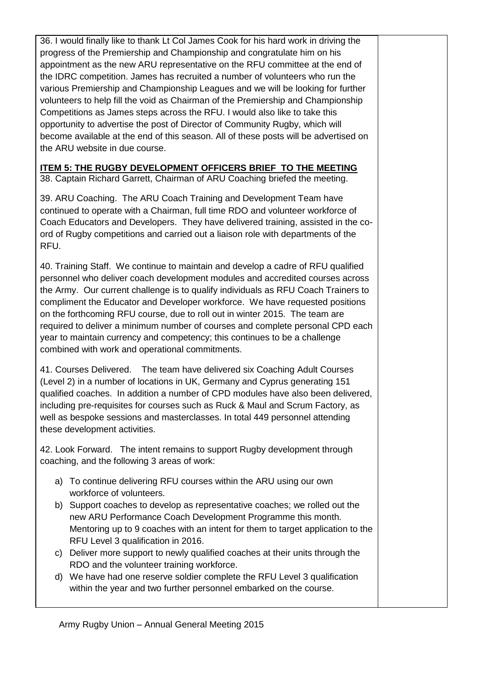36. I would finally like to thank Lt Col James Cook for his hard work in driving the progress of the Premiership and Championship and congratulate him on his appointment as the new ARU representative on the RFU committee at the end of the IDRC competition. James has recruited a number of volunteers who run the various Premiership and Championship Leagues and we will be looking for further volunteers to help fill the void as Chairman of the Premiership and Championship Competitions as James steps across the RFU. I would also like to take this opportunity to advertise the post of Director of Community Rugby, which will become available at the end of this season. All of these posts will be advertised on the ARU website in due course.

## **ITEM 5: THE RUGBY DEVELOPMENT OFFICERS BRIEF TO THE MEETING**

38. Captain Richard Garrett, Chairman of ARU Coaching briefed the meeting.

39. ARU Coaching. The ARU Coach Training and Development Team have continued to operate with a Chairman, full time RDO and volunteer workforce of Coach Educators and Developers. They have delivered training, assisted in the coord of Rugby competitions and carried out a liaison role with departments of the RFU.

40. Training Staff. We continue to maintain and develop a cadre of RFU qualified personnel who deliver coach development modules and accredited courses across the Army. Our current challenge is to qualify individuals as RFU Coach Trainers to compliment the Educator and Developer workforce. We have requested positions on the forthcoming RFU course, due to roll out in winter 2015. The team are required to deliver a minimum number of courses and complete personal CPD each year to maintain currency and competency; this continues to be a challenge combined with work and operational commitments.

41. Courses Delivered. The team have delivered six Coaching Adult Courses (Level 2) in a number of locations in UK, Germany and Cyprus generating 151 qualified coaches. In addition a number of CPD modules have also been delivered, including pre-requisites for courses such as Ruck & Maul and Scrum Factory, as well as bespoke sessions and masterclasses. In total 449 personnel attending these development activities.

42. Look Forward. The intent remains to support Rugby development through coaching, and the following 3 areas of work:

- a) To continue delivering RFU courses within the ARU using our own workforce of volunteers.
- b) Support coaches to develop as representative coaches; we rolled out the new ARU Performance Coach Development Programme this month. Mentoring up to 9 coaches with an intent for them to target application to the RFU Level 3 qualification in 2016.
- c) Deliver more support to newly qualified coaches at their units through the RDO and the volunteer training workforce.
- d) We have had one reserve soldier complete the RFU Level 3 qualification within the year and two further personnel embarked on the course.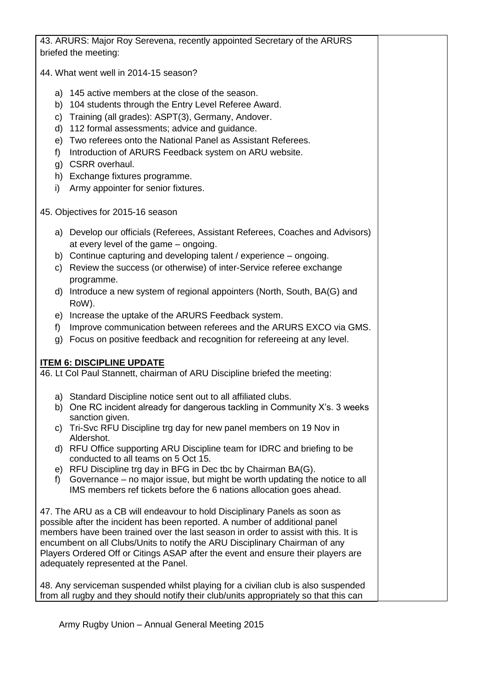| 43. ARURS: Major Roy Serevena, recently appointed Secretary of the ARURS                                                                                        |  |
|-----------------------------------------------------------------------------------------------------------------------------------------------------------------|--|
| briefed the meeting:                                                                                                                                            |  |
| 44. What went well in 2014-15 season?                                                                                                                           |  |
| a) 145 active members at the close of the season.                                                                                                               |  |
| b) 104 students through the Entry Level Referee Award.                                                                                                          |  |
| c) Training (all grades): ASPT(3), Germany, Andover.                                                                                                            |  |
| d) 112 formal assessments; advice and guidance.                                                                                                                 |  |
| e) Two referees onto the National Panel as Assistant Referees.                                                                                                  |  |
| Introduction of ARURS Feedback system on ARU website.<br>f)                                                                                                     |  |
| g) CSRR overhaul.                                                                                                                                               |  |
| h) Exchange fixtures programme.                                                                                                                                 |  |
| Army appointer for senior fixtures.<br>i)                                                                                                                       |  |
| 45. Objectives for 2015-16 season                                                                                                                               |  |
| a) Develop our officials (Referees, Assistant Referees, Coaches and Advisors)<br>at every level of the game - ongoing.                                          |  |
| b) Continue capturing and developing talent / experience - ongoing.                                                                                             |  |
| c) Review the success (or otherwise) of inter-Service referee exchange                                                                                          |  |
| programme.                                                                                                                                                      |  |
| d) Introduce a new system of regional appointers (North, South, BA(G) and                                                                                       |  |
| RoW).                                                                                                                                                           |  |
| e) Increase the uptake of the ARURS Feedback system.                                                                                                            |  |
| Improve communication between referees and the ARURS EXCO via GMS.<br>f)                                                                                        |  |
| g) Focus on positive feedback and recognition for refereeing at any level.                                                                                      |  |
| <b>ITEM 6: DISCIPLINE UPDATE</b>                                                                                                                                |  |
| 46. Lt Col Paul Stannett, chairman of ARU Discipline briefed the meeting:                                                                                       |  |
| a) Standard Discipline notice sent out to all affiliated clubs.                                                                                                 |  |
| b) One RC incident already for dangerous tackling in Community X's. 3 weeks                                                                                     |  |
| sanction given.<br>c) Tri-Svc RFU Discipline trg day for new panel members on 19 Nov in                                                                         |  |
| Aldershot.                                                                                                                                                      |  |
| d) RFU Office supporting ARU Discipline team for IDRC and briefing to be                                                                                        |  |
| conducted to all teams on 5 Oct 15.                                                                                                                             |  |
| e) RFU Discipline trg day in BFG in Dec tbc by Chairman BA(G).<br>Governance – no major issue, but might be worth updating the notice to all<br>f               |  |
| IMS members ref tickets before the 6 nations allocation goes ahead.                                                                                             |  |
| 47. The ARU as a CB will endeavour to hold Disciplinary Panels as soon as                                                                                       |  |
| possible after the incident has been reported. A number of additional panel                                                                                     |  |
| members have been trained over the last season in order to assist with this. It is                                                                              |  |
| encumbent on all Clubs/Units to notify the ARU Disciplinary Chairman of any<br>Players Ordered Off or Citings ASAP after the event and ensure their players are |  |
| adequately represented at the Panel.                                                                                                                            |  |
|                                                                                                                                                                 |  |
| 48. Any serviceman suspended whilst playing for a civilian club is also suspended                                                                               |  |
| from all rugby and they should notify their club/units appropriately so that this can                                                                           |  |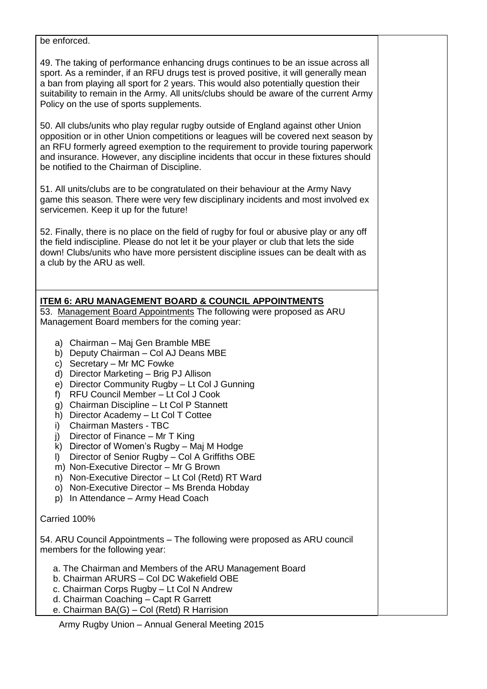#### be enforced.

49. The taking of performance enhancing drugs continues to be an issue across all sport. As a reminder, if an RFU drugs test is proved positive, it will generally mean a ban from playing all sport for 2 years. This would also potentially question their suitability to remain in the Army. All units/clubs should be aware of the current Army Policy on the use of sports supplements.

50. All clubs/units who play regular rugby outside of England against other Union opposition or in other Union competitions or leagues will be covered next season by an RFU formerly agreed exemption to the requirement to provide touring paperwork and insurance. However, any discipline incidents that occur in these fixtures should be notified to the Chairman of Discipline.

51. All units/clubs are to be congratulated on their behaviour at the Army Navy game this season. There were very few disciplinary incidents and most involved ex servicemen. Keep it up for the future!

52. Finally, there is no place on the field of rugby for foul or abusive play or any off the field indiscipline. Please do not let it be your player or club that lets the side down! Clubs/units who have more persistent discipline issues can be dealt with as a club by the ARU as well.

## **ITEM 6: ARU MANAGEMENT BOARD & COUNCIL APPOINTMENTS**

53. Management Board Appointments The following were proposed as ARU Management Board members for the coming year:

- a) Chairman Maj Gen Bramble MBE
- b) Deputy Chairman Col AJ Deans MBE
- c) Secretary Mr MC Fowke
- d) Director Marketing Brig PJ Allison
- e) Director Community Rugby Lt Col J Gunning
- f) RFU Council Member Lt Col J Cook
- g) Chairman Discipline Lt Col P Stannett
- h) Director Academy Lt Col T Cottee
- i) Chairman Masters TBC
- j) Director of Finance Mr T King
- k) Director of Women's Rugby Maj M Hodge
- l) Director of Senior Rugby Col A Griffiths OBE
- m) Non-Executive Director Mr G Brown
- n) Non-Executive Director Lt Col (Retd) RT Ward
- o) Non-Executive Director Ms Brenda Hobday
- p) In Attendance Army Head Coach

#### Carried 100%

54. ARU Council Appointments – The following were proposed as ARU council members for the following year:

- a. The Chairman and Members of the ARU Management Board
- b. Chairman ARURS Col DC Wakefield OBE
- c. Chairman Corps Rugby Lt Col N Andrew
- d. Chairman Coaching Capt R Garrett
- e. Chairman BA(G) Col (Retd) R Harrision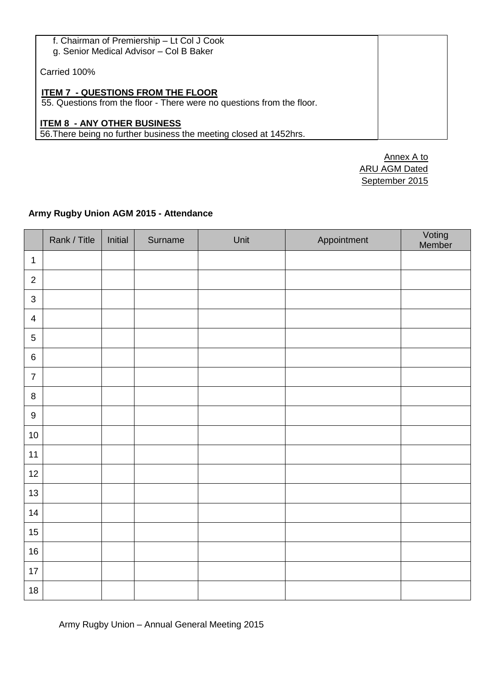| f. Chairman of Premiership - Lt Col J Cook<br>g. Senior Medical Advisor - Col B Baker                              |  |
|--------------------------------------------------------------------------------------------------------------------|--|
| Carried 100%                                                                                                       |  |
| <b>ITEM 7 - QUESTIONS FROM THE FLOOR</b><br>55. Questions from the floor - There were no questions from the floor. |  |
| <b>ITEM 8 - ANY OTHER BUSINESS</b><br>56. There being no further business the meeting closed at 1452hrs.           |  |

Annex A to ARU AGM Dated September 2015

# **Army Rugby Union AGM 2015 - Attendance**

|                  | Rank / Title | Initial | Surname | Unit | Appointment | Voting<br>Member |
|------------------|--------------|---------|---------|------|-------------|------------------|
| $\mathbf{1}$     |              |         |         |      |             |                  |
| $\sqrt{2}$       |              |         |         |      |             |                  |
| $\mathbf{3}$     |              |         |         |      |             |                  |
| $\overline{4}$   |              |         |         |      |             |                  |
| $\sqrt{5}$       |              |         |         |      |             |                  |
| $\,6\,$          |              |         |         |      |             |                  |
| $\boldsymbol{7}$ |              |         |         |      |             |                  |
| $\,8\,$          |              |         |         |      |             |                  |
| $\boldsymbol{9}$ |              |         |         |      |             |                  |
| 10               |              |         |         |      |             |                  |
| 11               |              |         |         |      |             |                  |
| 12               |              |         |         |      |             |                  |
| 13               |              |         |         |      |             |                  |
| 14               |              |         |         |      |             |                  |
| 15               |              |         |         |      |             |                  |
| $16\,$           |              |         |         |      |             |                  |
| $17\,$           |              |         |         |      |             |                  |
| $18$             |              |         |         |      |             |                  |